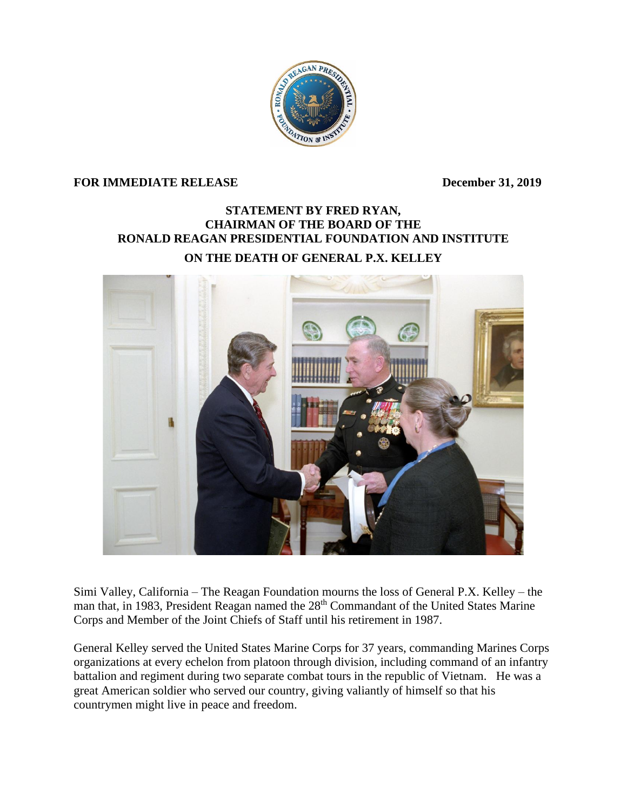

## **FOR IMMEDIATE RELEASE December 31, 2019**

## **STATEMENT BY FRED RYAN, CHAIRMAN OF THE BOARD OF THE RONALD REAGAN PRESIDENTIAL FOUNDATION AND INSTITUTE**

## **ON THE DEATH OF GENERAL P.X. KELLEY**



Simi Valley, California – The Reagan Foundation mourns the loss of General P.X. Kelley – the man that, in 1983, President Reagan named the 28<sup>th</sup> Commandant of the United States Marine Corps and Member of the Joint Chiefs of Staff until his retirement in 1987.

General Kelley served the United States Marine Corps for 37 years, commanding Marines Corps organizations at every echelon from platoon through division, including command of an infantry battalion and regiment during two separate combat tours in the republic of Vietnam. He was a great American soldier who served our country, giving valiantly of himself so that his countrymen might live in peace and freedom.